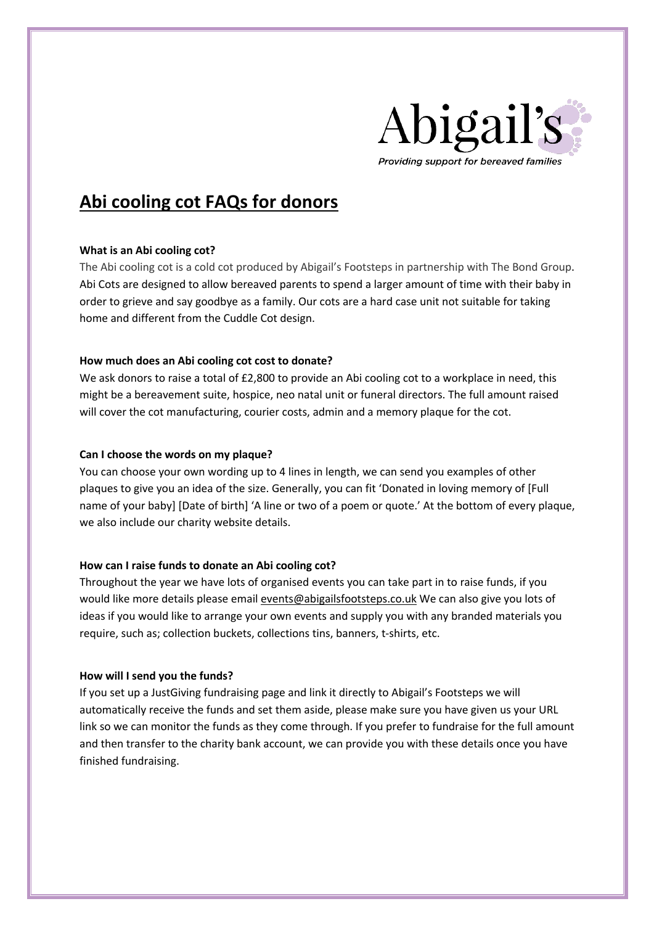

# **Abi cooling cot FAQs for donors**

## **What is an Abi cooling cot?**

The Abi cooling cot is a cold cot produced by Abigail's Footsteps in partnership with The Bond Group. Abi Cots are designed to allow bereaved parents to spend a larger amount of time with their baby in order to grieve and say goodbye as a family. Our cots are a hard case unit not suitable for taking home and different from the Cuddle Cot design.

# **How much does an Abi cooling cot cost to donate?**

We ask donors to raise a total of £2,800 to provide an Abi cooling cot to a workplace in need, this might be a bereavement suite, hospice, neo natal unit or funeral directors. The full amount raised will cover the cot manufacturing, courier costs, admin and a memory plaque for the cot.

# **Can I choose the words on my plaque?**

You can choose your own wording up to 4 lines in length, we can send you examples of other plaques to give you an idea of the size. Generally, you can fit 'Donated in loving memory of [Full name of your baby] [Date of birth] 'A line or two of a poem or quote.' At the bottom of every plaque, we also include our charity website details.

# **How can I raise funds to donate an Abi cooling cot?**

Throughout the year we have lots of organised events you can take part in to raise funds, if you would like more details please email events@abigailsfootsteps.co.uk We can also give you lots of ideas if you would like to arrange your own events and supply you with any branded materials you require, such as; collection buckets, collections tins, banners, t-shirts, etc.

## **How will I send you the funds?**

If you set up a JustGiving fundraising page and link it directly to Abigail's Footsteps we will automatically receive the funds and set them aside, please make sure you have given us your URL link so we can monitor the funds as they come through. If you prefer to fundraise for the full amount and then transfer to the charity bank account, we can provide you with these details once you have finished fundraising.